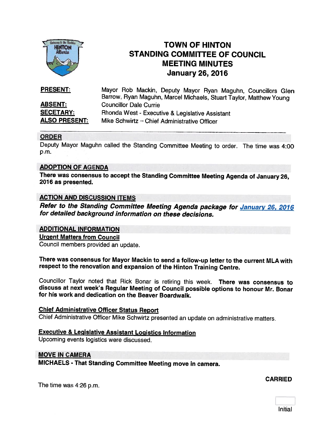

## TOWN OF HINTON STANDING COMMITTEE OF COUNCIL MEETING MINUTES January 26, 2016

| <b>PRESENT:</b>      | Mayor Rob Mackin, Deputy Mayor Ryan Maguhn, Councillors Glen<br>Barrow, Ryan Maguhn, Marcel Michaels, Stuart Taylor, Matthew Young |
|----------------------|------------------------------------------------------------------------------------------------------------------------------------|
| <b>ABSENT:</b>       | <b>Councillor Dale Currie</b>                                                                                                      |
| <b>SECETARY:</b>     | Rhonda West - Executive & Legislative Assistant                                                                                    |
| <b>ALSO PRESENT:</b> | Mike Schwirtz - Chief Administrative Officer                                                                                       |

#### ORDER

Deputy Mayor Maguhn called the Standing Committee Meeting to order. The time was 4:00 p.m.

#### ADOPTION OF AGENDA

There was consensus to accept the Standing Committee Meeting Agenda of January 26, <sup>2016</sup> as presented.

#### **ACTION AND DISCUSSION ITEMS**

Refer to the Standing Committee Meeting Agenda package for January 26, 2016<br>for detailed background information on these decisions.

#### ADDITIONAL INFORMATION

Urgent Matters from Council

Council members provided an update.

There was consensus for Mayor Mackin to send <sup>a</sup> follow-up letter to the current MLA with respect to the renovation and expansion of the Hinton Training Centre.

Councillor Taylor noted that Rick Bonar is retiring this week. There was consensus to discuss at next week's Regular Meeting of Council possible options to honour Mr. Bonar for his work and dedication on the Beaver Boardwalk.

#### Chief Administrative Officer Status Report

Chief Administrative Officer Mike Schwirtz presented an update on administrative matters.

#### Executive & Legislative Assistant Logistics Information

Upcoming events logistics were discussed.

#### MOVE IN CAMERA

MICHAELS - That Standing Committee Meeting move in camera.

The time was 4:26 p.m.

**CARRIED** 

Initial